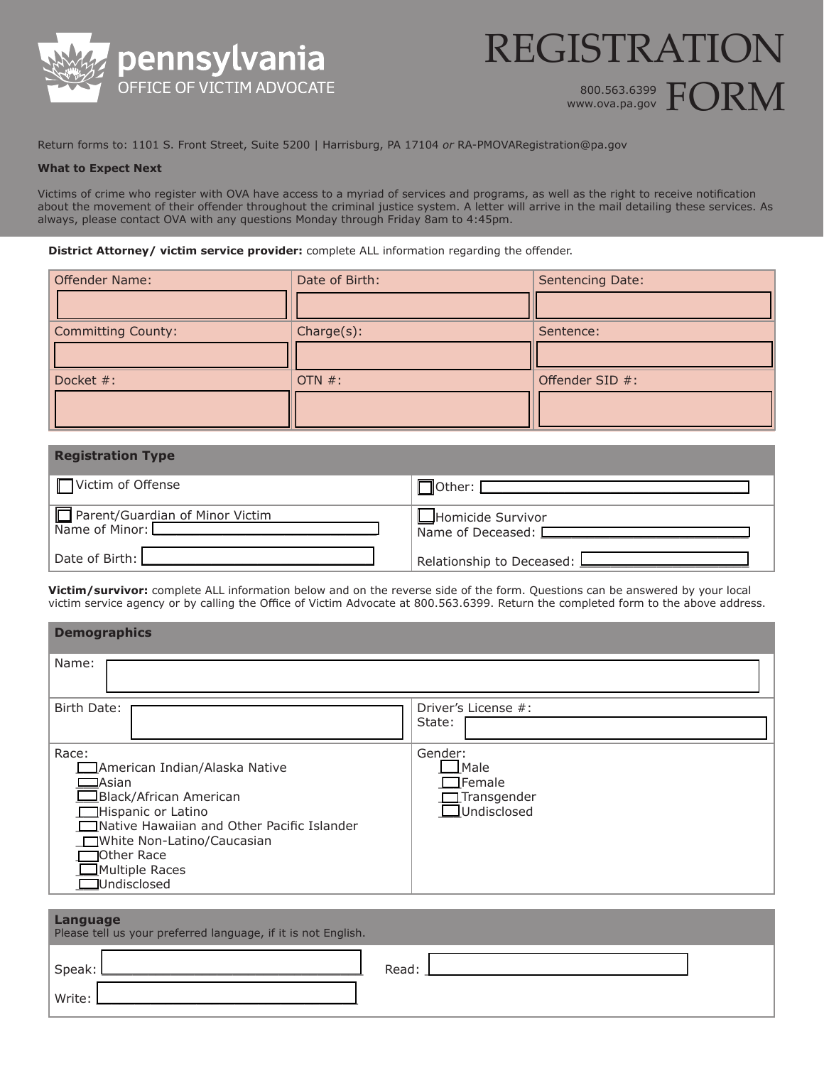



Return forms to: 1101 S. Front Street, Suite 5200 | Harrisburg, PA 17104 *or* RA-PMOVARegistration@pa.gov

## **What to Expect Next**

Victims of crime who register with OVA have access to a myriad of services and programs, as well as the right to receive notification about the movement of their offender throughout the criminal justice system. A letter will arrive in the mail detailing these services. As always, please contact OVA with any questions Monday through Friday 8am to 4:45pm.

## **District Attorney/ victim service provider:** complete ALL information regarding the offender.

| <b>Offender Name:</b> | Date of Birth: | Sentencing Date: |
|-----------------------|----------------|------------------|
|                       |                |                  |
| Committing County:    | Change(s):     | Sentence:        |
|                       |                |                  |
| Docket #:             | OTN $#$ :      | Offender SID #:  |
|                       |                |                  |

| <b>Registration Type</b>                          |                                                  |
|---------------------------------------------------|--------------------------------------------------|
| Victim of Offense                                 | $\Box$ Other: [                                  |
| Parent/Guardian of Minor Victim<br>Name of Minor: | Homicide Survivor<br>Name of Deceased: $\square$ |
| Date of Birth:                                    | Relationship to Deceased: <b>L</b>               |

**Victim/survivor:** complete ALL information below and on the reverse side of the form. Questions can be answered by your local victim service agency or by calling the Office of Victim Advocate at 800.563.6399. Return the completed form to the above address.

| <b>Demographics</b>                                                                                                                                                                                                                        |                                                                  |
|--------------------------------------------------------------------------------------------------------------------------------------------------------------------------------------------------------------------------------------------|------------------------------------------------------------------|
| Name:                                                                                                                                                                                                                                      |                                                                  |
| Birth Date:                                                                                                                                                                                                                                | Driver's License #:<br>State:                                    |
| Race:<br>American Indian/Alaska Native<br>$\Box$ Asian<br>Black/African American<br>Hispanic or Latino<br>Native Hawaiian and Other Pacific Islander<br>□ White Non-Latino/Caucasian<br>Other Race<br>Multiple Races<br><b>Undisclosed</b> | Gender:<br>Male<br>TFemale<br>Transgender<br><b>JUndisclosed</b> |

| Language<br>Please tell us your preferred language, if it is not English. |       |
|---------------------------------------------------------------------------|-------|
| Speak:                                                                    | Read: |
| Write:                                                                    |       |